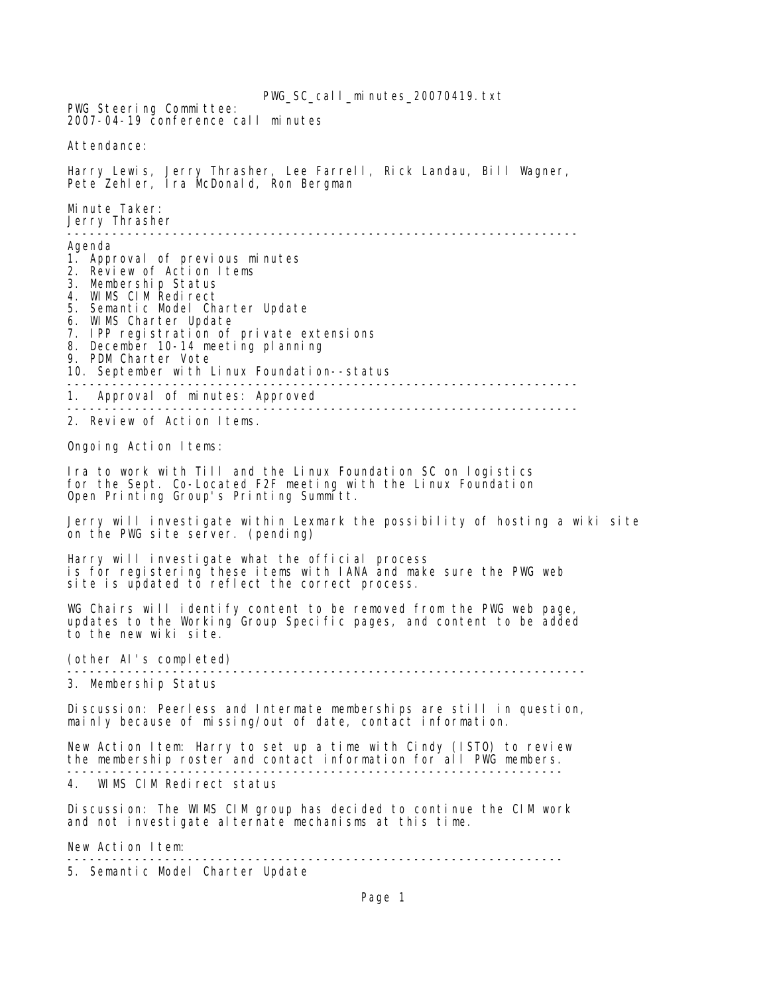PWG SC call minutes 20070419.txt PWG Steering Committee: 2007-04-19 conference call minutes Attendance: Harry Lewis, Jerry Thrasher, Lee Farrell, Rick Landau, Bill Wagner, Pete Zehler, Ira McDonald, Ron Bergman Minute Taker: Jerry Thrasher -------------------------------------------------------------------- Agenda 1. Approval of previous minutes 2. Review of Action Items 3. Membership Status 4. WIMS CIM Redirect 5. Semantic Model Charter Update 6. WIMS Charter Update 7. IPP registration of private extensions 8. December 10-14 meeting planning 9. PDM Charter Vote 10. September with Linux Foundation--status -------------------------------------------------------------------- 1. Approval of minutes: Approved -------------------------------------------------------------------- 2. Review of Action Items. Ongoing Action Items: Ira to work with Till and the Linux Foundation SC on logistics for the Sept. Co-Located F2F meeting with the Linux Foundation Open Printing Group's Printing Summitt. Jerry will investigate within Lexmark the possibility of hosting a wiki site on the PWG site server. (pending) Harry will investigate what the official process is for registering these items with IANA and make sure the PWG web site is updated to reflect the correct process. WG Chairs will identify content to be removed from the PWG web page, updates to the Working Group Specific pages, and content to be added to the new wiki site. (other AI's completed) --------------------------------------------------------------------- 3. Membership Status Discussion: Peerless and Intermate memberships are still in question, mainly because of missing/out of date, contact information. New Action Item: Harry to set up a time with Cindy (ISTO) to review the membership roster and contact information for all PWG members. ------------------------------------------------------------------ 4. WIMS CIM Redirect status Discussion: The WIMS CIM group has decided to continue the CIM work and not investigate alternate mechanisms at this time. New Action Item: ------------------------------------------------------------------ 5. Semantic Model Charter Update

Page 1